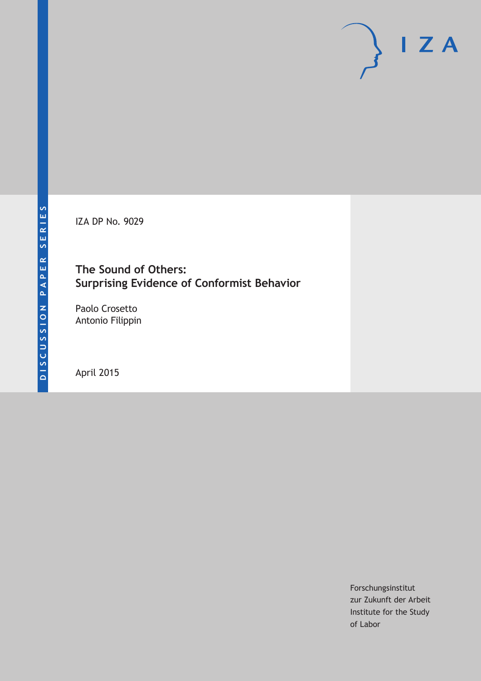IZA DP No. 9029

### **The Sound of Others: Surprising Evidence of Conformist Behavior**

Paolo Crosetto Antonio Filippin

April 2015

Forschungsinstitut zur Zukunft der Arbeit Institute for the Study of Labor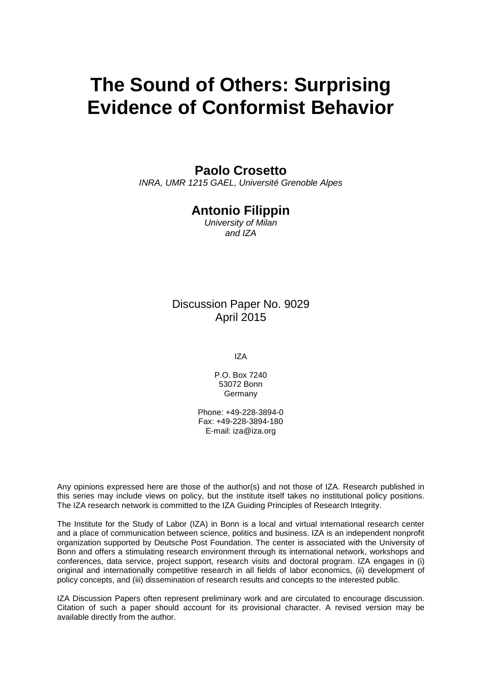# **The Sound of Others: Surprising Evidence of Conformist Behavior**

### **Paolo Crosetto**

*INRA, UMR 1215 GAEL, Université Grenoble Alpes*

### **Antonio Filippin**

*University of Milan and IZA*

### Discussion Paper No. 9029 April 2015

IZA

P.O. Box 7240 53072 Bonn **Germany** 

Phone: +49-228-3894-0 Fax: +49-228-3894-180 E-mail: iza@iza.org

Any opinions expressed here are those of the author(s) and not those of IZA. Research published in this series may include views on policy, but the institute itself takes no institutional policy positions. The IZA research network is committed to the IZA Guiding Principles of Research Integrity.

The Institute for the Study of Labor (IZA) in Bonn is a local and virtual international research center and a place of communication between science, politics and business. IZA is an independent nonprofit organization supported by Deutsche Post Foundation. The center is associated with the University of Bonn and offers a stimulating research environment through its international network, workshops and conferences, data service, project support, research visits and doctoral program. IZA engages in (i) original and internationally competitive research in all fields of labor economics, (ii) development of policy concepts, and (iii) dissemination of research results and concepts to the interested public.

<span id="page-1-0"></span>IZA Discussion Papers often represent preliminary work and are circulated to encourage discussion. Citation of such a paper should account for its provisional character. A revised version may be available directly from the author.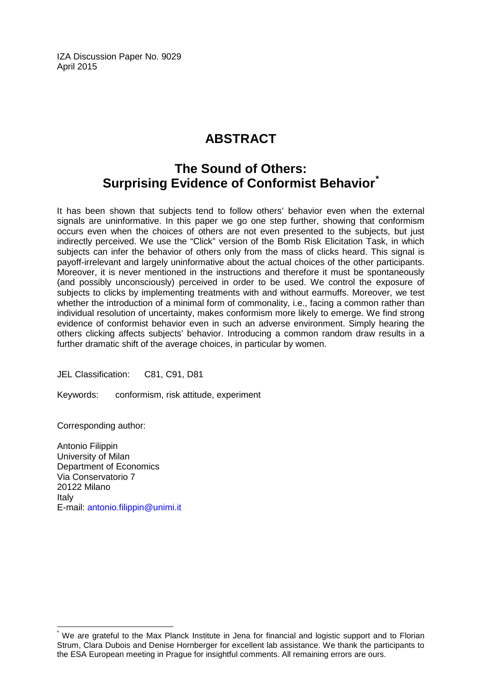IZA Discussion Paper No. 9029 April 2015

# **ABSTRACT**

## **The Sound of Others: Surprising Evidence of Conformist Behavior[\\*](#page-1-0)**

It has been shown that subjects tend to follow others' behavior even when the external signals are uninformative. In this paper we go one step further, showing that conformism occurs even when the choices of others are not even presented to the subjects, but just indirectly perceived. We use the "Click" version of the Bomb Risk Elicitation Task, in which subjects can infer the behavior of others only from the mass of clicks heard. This signal is payoff-irrelevant and largely uninformative about the actual choices of the other participants. Moreover, it is never mentioned in the instructions and therefore it must be spontaneously (and possibly unconsciously) perceived in order to be used. We control the exposure of subjects to clicks by implementing treatments with and without earmuffs. Moreover, we test whether the introduction of a minimal form of commonality, i.e., facing a common rather than individual resolution of uncertainty, makes conformism more likely to emerge. We find strong evidence of conformist behavior even in such an adverse environment. Simply hearing the others clicking affects subjects' behavior. Introducing a common random draw results in a further dramatic shift of the average choices, in particular by women.

JEL Classification: C81, C91, D81

Keywords: conformism, risk attitude, experiment

Corresponding author:

Antonio Filippin University of Milan Department of Economics Via Conservatorio 7 20122 Milano Italy E-mail: [antonio.filippin@unimi.it](mailto:antonio.filippin@unimi.it)

We are grateful to the Max Planck Institute in Jena for financial and logistic support and to Florian Strum, Clara Dubois and Denise Hornberger for excellent lab assistance. We thank the participants to the ESA European meeting in Prague for insightful comments. All remaining errors are ours.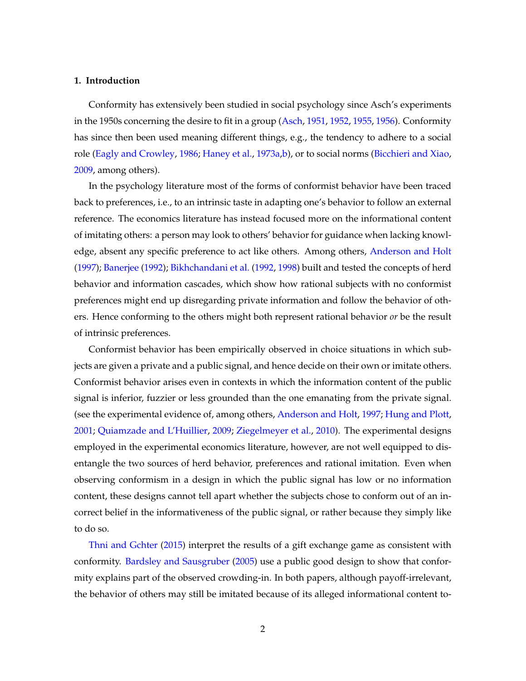#### **1. Introduction**

Conformity has extensively been studied in social psychology since Asch's experiments in the 1950s concerning the desire to fit in a group [\(Asch,](#page-15-0) [1951,](#page-15-0) [1952,](#page-15-1) [1955,](#page-15-2) [1956\)](#page-15-3). Conformity has since then been used meaning different things, e.g., the tendency to adhere to a social role [\(Eagly and Crowley,](#page-16-0) [1986;](#page-16-0) [Haney et al.,](#page-16-1) [1973a,](#page-16-1)[b\)](#page-16-2), or to social norms [\(Bicchieri and Xiao,](#page-15-4) [2009,](#page-15-4) among others).

In the psychology literature most of the forms of conformist behavior have been traced back to preferences, i.e., to an intrinsic taste in adapting one's behavior to follow an external reference. The economics literature has instead focused more on the informational content of imitating others: a person may look to others' behavior for guidance when lacking knowledge, absent any specific preference to act like others. Among others, [Anderson and Holt](#page-15-5) [\(1997\)](#page-15-5); [Banerjee](#page-15-6) [\(1992\)](#page-15-6); [Bikhchandani et al.](#page-15-7) [\(1992,](#page-15-7) [1998\)](#page-15-8) built and tested the concepts of herd behavior and information cascades, which show how rational subjects with no conformist preferences might end up disregarding private information and follow the behavior of others. Hence conforming to the others might both represent rational behavior *or* be the result of intrinsic preferences.

Conformist behavior has been empirically observed in choice situations in which subjects are given a private and a public signal, and hence decide on their own or imitate others. Conformist behavior arises even in contexts in which the information content of the public signal is inferior, fuzzier or less grounded than the one emanating from the private signal. (see the experimental evidence of, among others, [Anderson and Holt,](#page-15-5) [1997;](#page-15-5) [Hung and Plott,](#page-16-3) [2001;](#page-16-3) [Quiamzade and L'Huillier,](#page-16-4) [2009;](#page-16-4) [Ziegelmeyer et al.,](#page-17-0) [2010\)](#page-17-0). The experimental designs employed in the experimental economics literature, however, are not well equipped to disentangle the two sources of herd behavior, preferences and rational imitation. Even when observing conformism in a design in which the public signal has low or no information content, these designs cannot tell apart whether the subjects chose to conform out of an incorrect belief in the informativeness of the public signal, or rather because they simply like to do so.

[Thni and Gchter](#page-17-1) [\(2015\)](#page-17-1) interpret the results of a gift exchange game as consistent with conformity. [Bardsley and Sausgruber](#page-15-9) [\(2005\)](#page-15-9) use a public good design to show that conformity explains part of the observed crowding-in. In both papers, although payoff-irrelevant, the behavior of others may still be imitated because of its alleged informational content to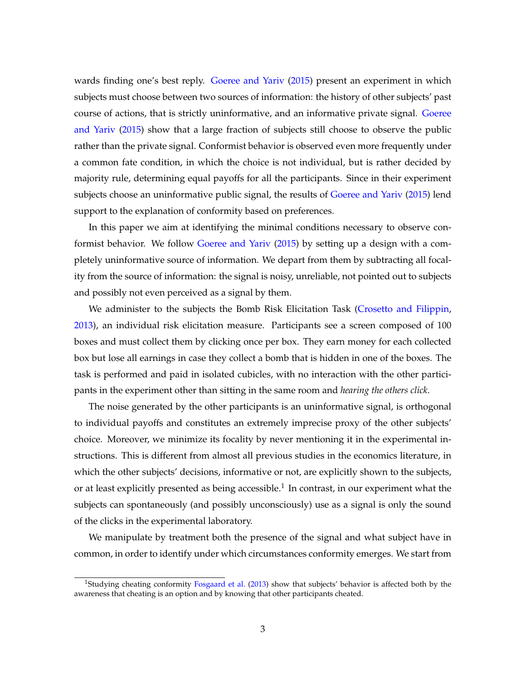wards finding one's best reply. [Goeree and Yariv](#page-16-5) [\(2015\)](#page-16-5) present an experiment in which subjects must choose between two sources of information: the history of other subjects' past course of actions, that is strictly uninformative, and an informative private signal. [Goeree](#page-16-5) [and Yariv](#page-16-5) [\(2015\)](#page-16-5) show that a large fraction of subjects still choose to observe the public rather than the private signal. Conformist behavior is observed even more frequently under a common fate condition, in which the choice is not individual, but is rather decided by majority rule, determining equal payoffs for all the participants. Since in their experiment subjects choose an uninformative public signal, the results of [Goeree and Yariv](#page-16-5) [\(2015\)](#page-16-5) lend support to the explanation of conformity based on preferences.

In this paper we aim at identifying the minimal conditions necessary to observe conformist behavior. We follow [Goeree and Yariv](#page-16-5) [\(2015\)](#page-16-5) by setting up a design with a completely uninformative source of information. We depart from them by subtracting all focality from the source of information: the signal is noisy, unreliable, not pointed out to subjects and possibly not even perceived as a signal by them.

We administer to the subjects the Bomb Risk Elicitation Task [\(Crosetto and Filippin,](#page-16-6) [2013\)](#page-16-6), an individual risk elicitation measure. Participants see a screen composed of 100 boxes and must collect them by clicking once per box. They earn money for each collected box but lose all earnings in case they collect a bomb that is hidden in one of the boxes. The task is performed and paid in isolated cubicles, with no interaction with the other participants in the experiment other than sitting in the same room and *hearing the others click*.

The noise generated by the other participants is an uninformative signal, is orthogonal to individual payoffs and constitutes an extremely imprecise proxy of the other subjects' choice. Moreover, we minimize its focality by never mentioning it in the experimental instructions. This is different from almost all previous studies in the economics literature, in which the other subjects' decisions, informative or not, are explicitly shown to the subjects, or at least explicitly presented as being accessible.<sup>1</sup> In contrast, in our experiment what the subjects can spontaneously (and possibly unconsciously) use as a signal is only the sound of the clicks in the experimental laboratory.

We manipulate by treatment both the presence of the signal and what subject have in common, in order to identify under which circumstances conformity emerges. We start from

<sup>&</sup>lt;sup>1</sup>Studying cheating conformity [Fosgaard et al.](#page-16-7) [\(2013\)](#page-16-7) show that subjects' behavior is affected both by the awareness that cheating is an option and by knowing that other participants cheated.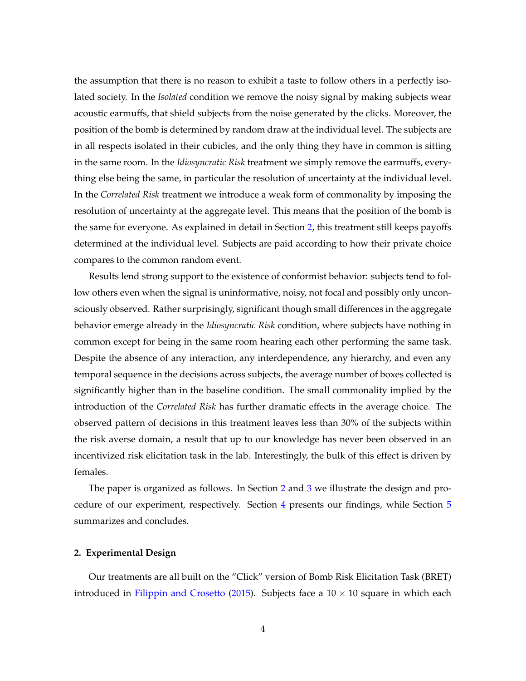the assumption that there is no reason to exhibit a taste to follow others in a perfectly isolated society. In the *Isolated* condition we remove the noisy signal by making subjects wear acoustic earmuffs, that shield subjects from the noise generated by the clicks. Moreover, the position of the bomb is determined by random draw at the individual level. The subjects are in all respects isolated in their cubicles, and the only thing they have in common is sitting in the same room. In the *Idiosyncratic Risk* treatment we simply remove the earmuffs, everything else being the same, in particular the resolution of uncertainty at the individual level. In the *Correlated Risk* treatment we introduce a weak form of commonality by imposing the resolution of uncertainty at the aggregate level. This means that the position of the bomb is the same for everyone. As explained in detail in Section [2,](#page-5-0) this treatment still keeps payoffs determined at the individual level. Subjects are paid according to how their private choice compares to the common random event.

Results lend strong support to the existence of conformist behavior: subjects tend to follow others even when the signal is uninformative, noisy, not focal and possibly only unconsciously observed. Rather surprisingly, significant though small differences in the aggregate behavior emerge already in the *Idiosyncratic Risk* condition, where subjects have nothing in common except for being in the same room hearing each other performing the same task. Despite the absence of any interaction, any interdependence, any hierarchy, and even any temporal sequence in the decisions across subjects, the average number of boxes collected is significantly higher than in the baseline condition. The small commonality implied by the introduction of the *Correlated Risk* has further dramatic effects in the average choice. The observed pattern of decisions in this treatment leaves less than 30% of the subjects within the risk averse domain, a result that up to our knowledge has never been observed in an incentivized risk elicitation task in the lab. Interestingly, the bulk of this effect is driven by females.

The paper is organized as follows. In Section [2](#page-5-0) and [3](#page-9-0) we illustrate the design and procedure of our experiment, respectively. Section [4](#page-10-0) presents our findings, while Section [5](#page-13-0) summarizes and concludes.

#### <span id="page-5-0"></span>**2. Experimental Design**

Our treatments are all built on the "Click" version of Bomb Risk Elicitation Task (BRET) introduced in [Filippin and Crosetto](#page-16-8) [\(2015\)](#page-16-8). Subjects face a  $10 \times 10$  square in which each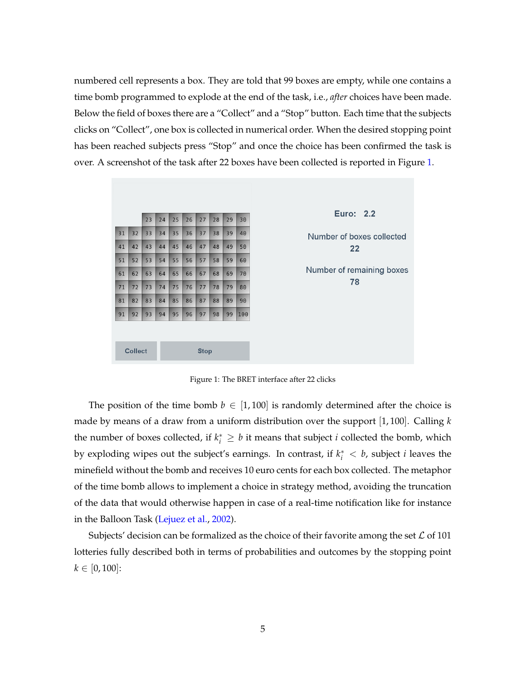numbered cell represents a box. They are told that 99 boxes are empty, while one contains a time bomb programmed to explode at the end of the task, i.e., *after* choices have been made. Below the field of boxes there are a "Collect" and a "Stop" button. Each time that the subjects clicks on "Collect", one box is collected in numerical order. When the desired stopping point has been reached subjects press "Stop" and once the choice has been confirmed the task is over. A screenshot of the task after 22 boxes have been collected is reported in Figure [1.](#page-6-0)

|                               |    | 23 | 24 | 25 | 26 | 27 | 28 | 29 | 30  |  |
|-------------------------------|----|----|----|----|----|----|----|----|-----|--|
| 31                            | 32 | 33 | 34 | 35 | 36 | 37 | 38 | 39 | 40  |  |
| 41                            | 42 | 43 | 44 | 45 | 46 | 47 | 48 | 49 | 50  |  |
| 51                            | 52 | 53 | 54 | 55 | 56 | 57 | 58 | 59 | 60  |  |
| 61                            | 62 | 63 | 64 | 65 | 66 | 67 | 68 | 69 | 70  |  |
| 71                            | 72 | 73 | 74 | 75 | 76 | 77 | 78 | 79 | 80  |  |
| 81                            | 82 | 83 | 84 | 85 | 86 | 87 | 88 | 89 | 90  |  |
| 91                            | 92 | 93 | 94 | 95 | 96 | 97 | 98 | 99 | 100 |  |
|                               |    |    |    |    |    |    |    |    |     |  |
| <b>Collect</b><br><b>Stop</b> |    |    |    |    |    |    |    |    |     |  |
|                               |    |    |    |    |    |    |    |    |     |  |

<span id="page-6-0"></span>Figure 1: The BRET interface after 22 clicks

The position of the time bomb  $b \in [1,100]$  is randomly determined after the choice is made by means of a draw from a uniform distribution over the support [1, 100]. Calling *k* the number of boxes collected, if  $k_i^* \geq b$  it means that subject *i* collected the bomb, which by exploding wipes out the subject's earnings. In contrast, if  $k_i^* < b$ , subject *i* leaves the minefield without the bomb and receives 10 euro cents for each box collected. The metaphor of the time bomb allows to implement a choice in strategy method, avoiding the truncation of the data that would otherwise happen in case of a real-time notification like for instance in the Balloon Task [\(Lejuez et al.,](#page-16-9) [2002\)](#page-16-9).

Subjects' decision can be formalized as the choice of their favorite among the set  $\mathcal L$  of 101 lotteries fully described both in terms of probabilities and outcomes by the stopping point  $k \in [0, 100]$ :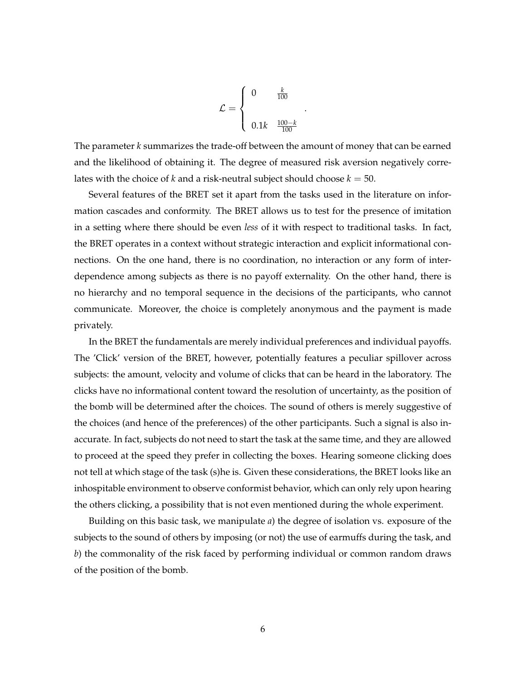$$
\mathcal{L} = \begin{cases} 0 & \frac{k}{100} \\ & \\ 0.1k & \frac{100 - k}{100} \end{cases}
$$

.

The parameter *k* summarizes the trade-off between the amount of money that can be earned and the likelihood of obtaining it. The degree of measured risk aversion negatively correlates with the choice of *k* and a risk-neutral subject should choose  $k = 50$ .

Several features of the BRET set it apart from the tasks used in the literature on information cascades and conformity. The BRET allows us to test for the presence of imitation in a setting where there should be even *less* of it with respect to traditional tasks. In fact, the BRET operates in a context without strategic interaction and explicit informational connections. On the one hand, there is no coordination, no interaction or any form of interdependence among subjects as there is no payoff externality. On the other hand, there is no hierarchy and no temporal sequence in the decisions of the participants, who cannot communicate. Moreover, the choice is completely anonymous and the payment is made privately.

In the BRET the fundamentals are merely individual preferences and individual payoffs. The 'Click' version of the BRET, however, potentially features a peculiar spillover across subjects: the amount, velocity and volume of clicks that can be heard in the laboratory. The clicks have no informational content toward the resolution of uncertainty, as the position of the bomb will be determined after the choices. The sound of others is merely suggestive of the choices (and hence of the preferences) of the other participants. Such a signal is also inaccurate. In fact, subjects do not need to start the task at the same time, and they are allowed to proceed at the speed they prefer in collecting the boxes. Hearing someone clicking does not tell at which stage of the task (s)he is. Given these considerations, the BRET looks like an inhospitable environment to observe conformist behavior, which can only rely upon hearing the others clicking, a possibility that is not even mentioned during the whole experiment.

Building on this basic task, we manipulate *a*) the degree of isolation vs. exposure of the subjects to the sound of others by imposing (or not) the use of earmuffs during the task, and *b*) the commonality of the risk faced by performing individual or common random draws of the position of the bomb.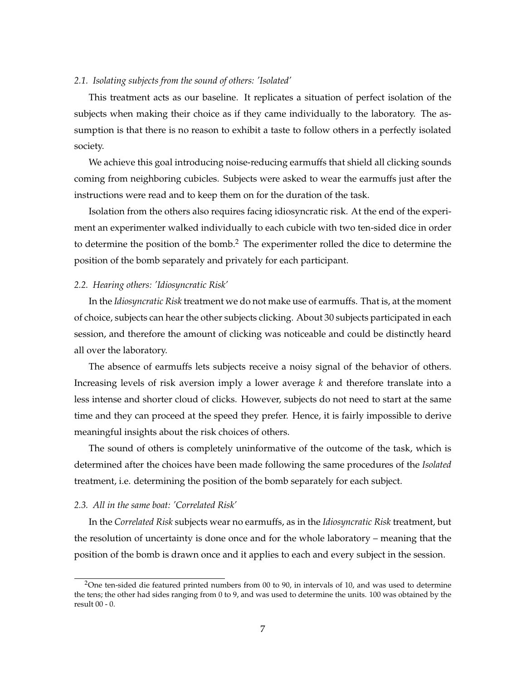#### *2.1. Isolating subjects from the sound of others: 'Isolated'*

This treatment acts as our baseline. It replicates a situation of perfect isolation of the subjects when making their choice as if they came individually to the laboratory. The assumption is that there is no reason to exhibit a taste to follow others in a perfectly isolated society.

We achieve this goal introducing noise-reducing earmuffs that shield all clicking sounds coming from neighboring cubicles. Subjects were asked to wear the earmuffs just after the instructions were read and to keep them on for the duration of the task.

Isolation from the others also requires facing idiosyncratic risk. At the end of the experiment an experimenter walked individually to each cubicle with two ten-sided dice in order to determine the position of the bomb.<sup>2</sup> The experimenter rolled the dice to determine the position of the bomb separately and privately for each participant.

#### *2.2. Hearing others: 'Idiosyncratic Risk'*

In the *Idiosyncratic Risk* treatment we do not make use of earmuffs. That is, at the moment of choice, subjects can hear the other subjects clicking. About 30 subjects participated in each session, and therefore the amount of clicking was noticeable and could be distinctly heard all over the laboratory.

The absence of earmuffs lets subjects receive a noisy signal of the behavior of others. Increasing levels of risk aversion imply a lower average *k* and therefore translate into a less intense and shorter cloud of clicks. However, subjects do not need to start at the same time and they can proceed at the speed they prefer. Hence, it is fairly impossible to derive meaningful insights about the risk choices of others.

The sound of others is completely uninformative of the outcome of the task, which is determined after the choices have been made following the same procedures of the *Isolated* treatment, i.e. determining the position of the bomb separately for each subject.

#### *2.3. All in the same boat: 'Correlated Risk'*

In the *Correlated Risk* subjects wear no earmuffs, as in the *Idiosyncratic Risk* treatment, but the resolution of uncertainty is done once and for the whole laboratory – meaning that the position of the bomb is drawn once and it applies to each and every subject in the session.

 $2$ One ten-sided die featured printed numbers from 00 to 90, in intervals of 10, and was used to determine the tens; the other had sides ranging from 0 to 9, and was used to determine the units. 100 was obtained by the result 00 - 0.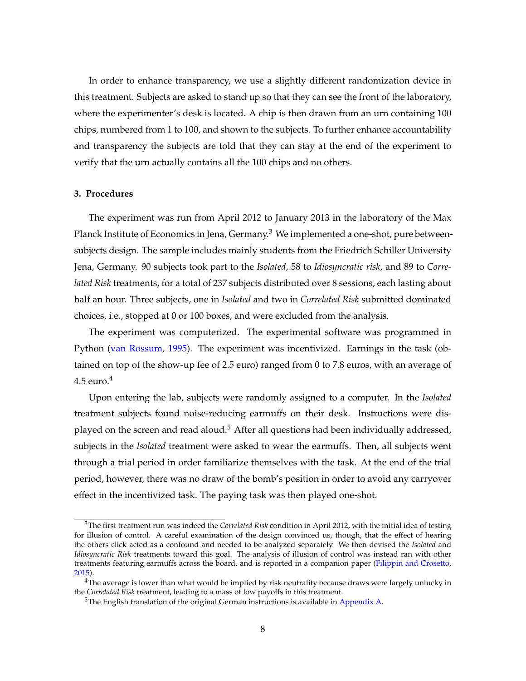In order to enhance transparency, we use a slightly different randomization device in this treatment. Subjects are asked to stand up so that they can see the front of the laboratory, where the experimenter's desk is located. A chip is then drawn from an urn containing 100 chips, numbered from 1 to 100, and shown to the subjects. To further enhance accountability and transparency the subjects are told that they can stay at the end of the experiment to verify that the urn actually contains all the 100 chips and no others.

#### <span id="page-9-0"></span>**3. Procedures**

The experiment was run from April 2012 to January 2013 in the laboratory of the Max Planck Institute of Economics in Jena, Germany.<sup>3</sup> We implemented a one-shot, pure betweensubjects design. The sample includes mainly students from the Friedrich Schiller University Jena, Germany. 90 subjects took part to the *Isolated*, 58 to *Idiosyncratic risk*, and 89 to *Correlated Risk* treatments, for a total of 237 subjects distributed over 8 sessions, each lasting about half an hour. Three subjects, one in *Isolated* and two in *Correlated Risk* submitted dominated choices, i.e., stopped at 0 or 100 boxes, and were excluded from the analysis.

The experiment was computerized. The experimental software was programmed in Python [\(van Rossum,](#page-17-2) [1995\)](#page-17-2). The experiment was incentivized. Earnings in the task (obtained on top of the show-up fee of 2.5 euro) ranged from 0 to 7.8 euros, with an average of  $4.5$  euro. $4$ 

Upon entering the lab, subjects were randomly assigned to a computer. In the *Isolated* treatment subjects found noise-reducing earmuffs on their desk. Instructions were displayed on the screen and read aloud.<sup>5</sup> After all questions had been individually addressed, subjects in the *Isolated* treatment were asked to wear the earmuffs. Then, all subjects went through a trial period in order familiarize themselves with the task. At the end of the trial period, however, there was no draw of the bomb's position in order to avoid any carryover effect in the incentivized task. The paying task was then played one-shot.

<sup>3</sup>The first treatment run was indeed the *Correlated Risk* condition in April 2012, with the initial idea of testing for illusion of control. A careful examination of the design convinced us, though, that the effect of hearing the others click acted as a confound and needed to be analyzed separately. We then devised the *Isolated* and *Idiosyncratic Risk* treatments toward this goal. The analysis of illusion of control was instead ran with other treatments featuring earmuffs across the board, and is reported in a companion paper [\(Filippin and Crosetto,](#page-16-8) [2015\)](#page-16-8).

<sup>&</sup>lt;sup>4</sup>The average is lower than what would be implied by risk neutrality because draws were largely unlucky in the *Correlated Risk* treatment, leading to a mass of low payoffs in this treatment.

 $5$ The English translation of the original German instructions is available in [Appendix A.](#page-17-3)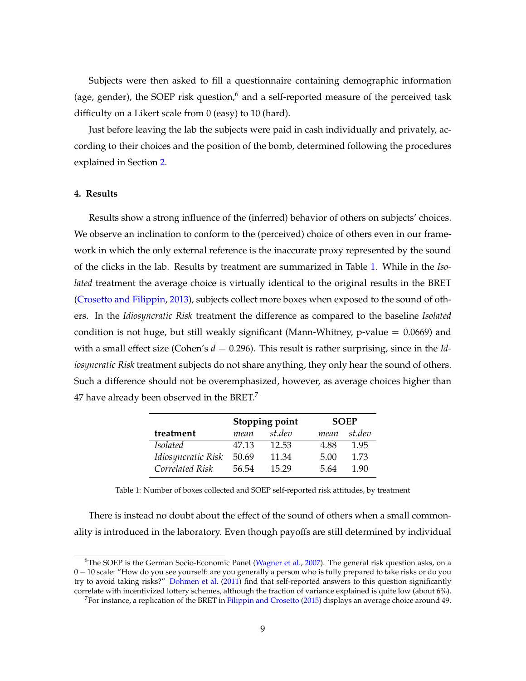Subjects were then asked to fill a questionnaire containing demographic information (age, gender), the SOEP risk question, $6$  and a self-reported measure of the perceived task difficulty on a Likert scale from 0 (easy) to 10 (hard).

Just before leaving the lab the subjects were paid in cash individually and privately, according to their choices and the position of the bomb, determined following the procedures explained in Section [2.](#page-5-0)

#### <span id="page-10-0"></span>**4. Results**

Results show a strong influence of the (inferred) behavior of others on subjects' choices. We observe an inclination to conform to the (perceived) choice of others even in our framework in which the only external reference is the inaccurate proxy represented by the sound of the clicks in the lab. Results by treatment are summarized in Table [1.](#page-10-1) While in the *Isolated* treatment the average choice is virtually identical to the original results in the BRET [\(Crosetto and Filippin,](#page-16-6) [2013\)](#page-16-6), subjects collect more boxes when exposed to the sound of others. In the *Idiosyncratic Risk* treatment the difference as compared to the baseline *Isolated* condition is not huge, but still weakly significant (Mann-Whitney,  $p$ -value  $= 0.0669$ ) and with a small effect size (Cohen's  $d = 0.296$ ). This result is rather surprising, since in the *Idiosyncratic Risk* treatment subjects do not share anything, they only hear the sound of others. Such a difference should not be overemphasized, however, as average choices higher than 47 have already been observed in the BRET. $^7$ 

|                    |       | Stopping point | <b>SOEP</b> |        |  |
|--------------------|-------|----------------|-------------|--------|--|
| treatment          | mean  | st.dev         | mean        | st.dev |  |
| <i>Isolated</i>    | 47.13 | 12.53          | 4.88        | 1.95   |  |
| Idiosyncratic Risk | 50.69 | 11.34          | 5.00        | 1.73   |  |
| Correlated Risk    | 56.54 | 15.29          | 5.64        | 1.90   |  |

<span id="page-10-1"></span>Table 1: Number of boxes collected and SOEP self-reported risk attitudes, by treatment

There is instead no doubt about the effect of the sound of others when a small commonality is introduced in the laboratory. Even though payoffs are still determined by individual

<sup>&</sup>lt;sup>6</sup>The SOEP is the German Socio-Economic Panel [\(Wagner et al.,](#page-17-4) [2007\)](#page-17-4). The general risk question asks, on a 0 − 10 scale: "How do you see yourself: are you generally a person who is fully prepared to take risks or do you try to avoid taking risks?" [Dohmen et al.](#page-16-10) [\(2011\)](#page-16-10) find that self-reported answers to this question significantly correlate with incentivized lottery schemes, although the fraction of variance explained is quite low (about 6%).

<sup>7</sup>For instance, a replication of the BRET in [Filippin and Crosetto](#page-16-8) [\(2015\)](#page-16-8) displays an average choice around 49.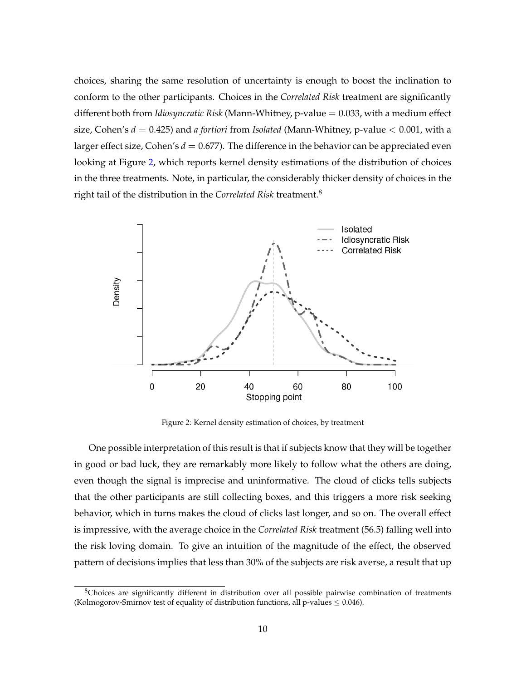choices, sharing the same resolution of uncertainty is enough to boost the inclination to conform to the other participants. Choices in the *Correlated Risk* treatment are significantly different both from *Idiosyncratic Risk* (Mann-Whitney, p-value = 0.033, with a medium effect size, Cohen's *d* = 0.425) and *a fortiori* from *Isolated* (Mann-Whitney, p-value < 0.001, with a larger effect size, Cohen's  $d = 0.677$ ). The difference in the behavior can be appreciated even looking at Figure [2,](#page-11-0) which reports kernel density estimations of the distribution of choices in the three treatments. Note, in particular, the considerably thicker density of choices in the right tail of the distribution in the *Correlated Risk* treatment.<sup>8</sup>



<span id="page-11-0"></span>Figure 2: Kernel density estimation of choices, by treatment

One possible interpretation of this result is that if subjects know that they will be together in good or bad luck, they are remarkably more likely to follow what the others are doing, even though the signal is imprecise and uninformative. The cloud of clicks tells subjects that the other participants are still collecting boxes, and this triggers a more risk seeking behavior, which in turns makes the cloud of clicks last longer, and so on. The overall effect is impressive, with the average choice in the *Correlated Risk* treatment (56.5) falling well into the risk loving domain. To give an intuition of the magnitude of the effect, the observed pattern of decisions implies that less than 30% of the subjects are risk averse, a result that up

<sup>&</sup>lt;sup>8</sup>Choices are significantly different in distribution over all possible pairwise combination of treatments (Kolmogorov-Smirnov test of equality of distribution functions, all p-values  $\leq 0.046$ ).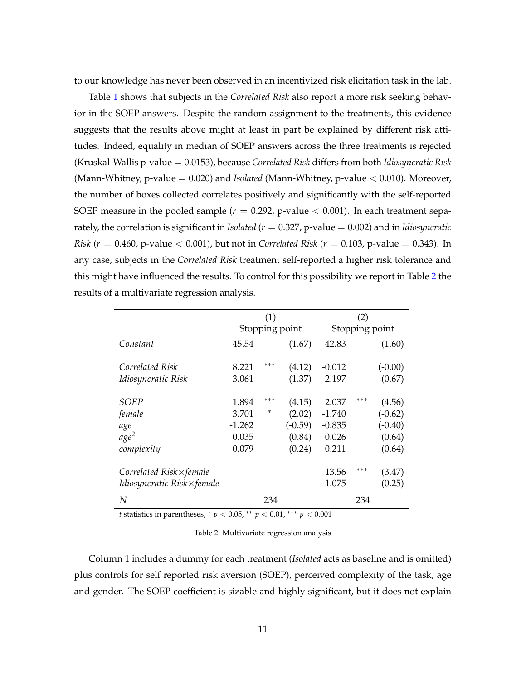to our knowledge has never been observed in an incentivized risk elicitation task in the lab.

Table [1](#page-10-1) shows that subjects in the *Correlated Risk* also report a more risk seeking behavior in the SOEP answers. Despite the random assignment to the treatments, this evidence suggests that the results above might at least in part be explained by different risk attitudes. Indeed, equality in median of SOEP answers across the three treatments is rejected (Kruskal-Wallis p-value = 0.0153), because *Correlated Risk* differs from both *Idiosyncratic Risk* (Mann-Whitney, p-value = 0.020) and *Isolated* (Mann-Whitney, p-value < 0.010). Moreover, the number of boxes collected correlates positively and significantly with the self-reported SOEP measure in the pooled sample  $(r = 0.292, p-value < 0.001)$ . In each treatment separately, the correlation is significant in *Isolated* (*r* = 0.327, p-value = 0.002) and in *Idiosyncratic Risk* ( $r = 0.460$ , p-value  $< 0.001$ ), but not in *Correlated Risk* ( $r = 0.103$ , p-value  $= 0.343$ ). In any case, subjects in the *Correlated Risk* treatment self-reported a higher risk tolerance and this might have influenced the results. To control for this possibility we report in Table [2](#page-12-0) the results of a multivariate regression analysis.

|                                  |          | (1)            |           |                | (2) |           |
|----------------------------------|----------|----------------|-----------|----------------|-----|-----------|
|                                  |          | Stopping point |           | Stopping point |     |           |
| Constant                         | 45.54    |                | (1.67)    | 42.83          |     | (1.60)    |
| Correlated Risk                  | 8.221    | ***            | (4.12)    | $-0.012$       |     | $(-0.00)$ |
| Idiosyncratic Risk               | 3.061    |                | (1.37)    | 2.197          |     | (0.67)    |
| SOEP                             | 1.894    | ***            | (4.15)    | 2.037          | *** | (4.56)    |
| female                           | 3.701    | $\ast$         | (2.02)    | $-1.740$       |     | $(-0.62)$ |
| age                              | $-1.262$ |                | $(-0.59)$ | $-0.835$       |     | $(-0.40)$ |
| age <sup>2</sup>                 | 0.035    |                | (0.84)    | 0.026          |     | (0.64)    |
| complexity                       | 0.079    |                | (0.24)    | 0.211          |     | (0.64)    |
|                                  |          |                |           |                | *** |           |
| Correlated $Risk \times female$  |          |                |           | 13.56          |     | (3.47)    |
| <i>Idiosyncratic Risk×female</i> |          |                |           | 1.075          |     | (0.25)    |
| N                                |          | 234            |           |                | 234 |           |

*t* statistics in parentheses, <sup>∗</sup> *p* < 0.05, ∗∗ *p* < 0.01, ∗∗∗ *p* < 0.001

<span id="page-12-0"></span>Table 2: Multivariate regression analysis

Column 1 includes a dummy for each treatment (*Isolated* acts as baseline and is omitted) plus controls for self reported risk aversion (SOEP), perceived complexity of the task, age and gender. The SOEP coefficient is sizable and highly significant, but it does not explain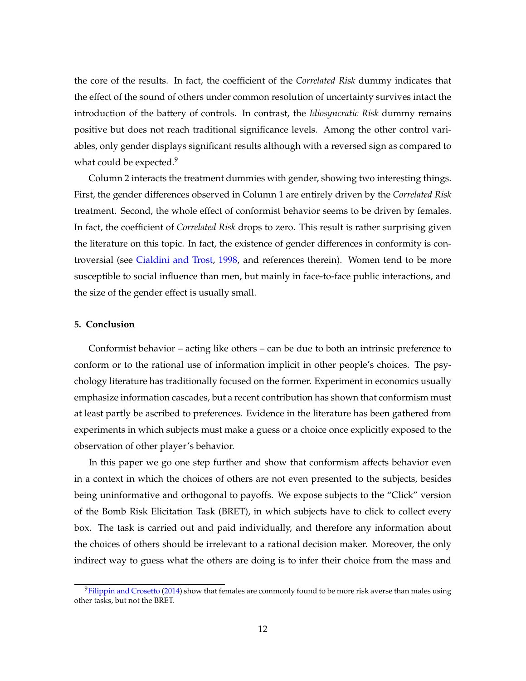the core of the results. In fact, the coefficient of the *Correlated Risk* dummy indicates that the effect of the sound of others under common resolution of uncertainty survives intact the introduction of the battery of controls. In contrast, the *Idiosyncratic Risk* dummy remains positive but does not reach traditional significance levels. Among the other control variables, only gender displays significant results although with a reversed sign as compared to what could be expected.<sup>9</sup>

Column 2 interacts the treatment dummies with gender, showing two interesting things. First, the gender differences observed in Column 1 are entirely driven by the *Correlated Risk* treatment. Second, the whole effect of conformist behavior seems to be driven by females. In fact, the coefficient of *Correlated Risk* drops to zero. This result is rather surprising given the literature on this topic. In fact, the existence of gender differences in conformity is controversial (see [Cialdini and Trost,](#page-16-11) [1998,](#page-16-11) and references therein). Women tend to be more susceptible to social influence than men, but mainly in face-to-face public interactions, and the size of the gender effect is usually small.

#### <span id="page-13-0"></span>**5. Conclusion**

Conformist behavior – acting like others – can be due to both an intrinsic preference to conform or to the rational use of information implicit in other people's choices. The psychology literature has traditionally focused on the former. Experiment in economics usually emphasize information cascades, but a recent contribution has shown that conformism must at least partly be ascribed to preferences. Evidence in the literature has been gathered from experiments in which subjects must make a guess or a choice once explicitly exposed to the observation of other player's behavior.

In this paper we go one step further and show that conformism affects behavior even in a context in which the choices of others are not even presented to the subjects, besides being uninformative and orthogonal to payoffs. We expose subjects to the "Click" version of the Bomb Risk Elicitation Task (BRET), in which subjects have to click to collect every box. The task is carried out and paid individually, and therefore any information about the choices of others should be irrelevant to a rational decision maker. Moreover, the only indirect way to guess what the others are doing is to infer their choice from the mass and

 $9$ [Filippin and Crosetto](#page-16-12) [\(2014\)](#page-16-12) show that females are commonly found to be more risk averse than males using other tasks, but not the BRET.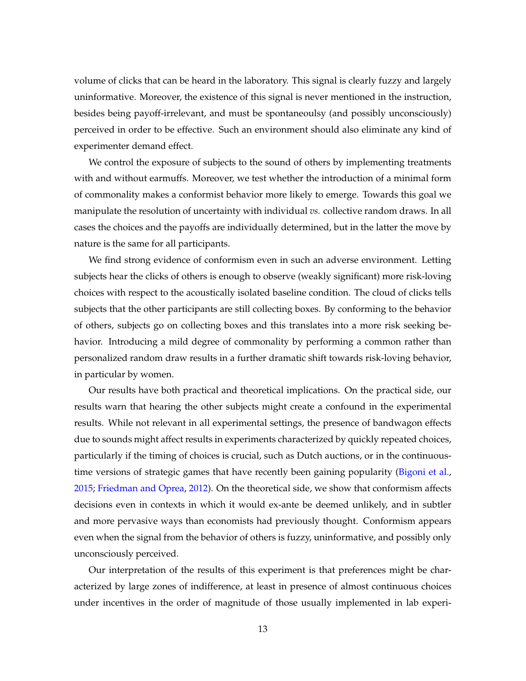volume of clicks that can be heard in the laboratory. This signal is clearly fuzzy and largely uninformative. Moreover, the existence of this signal is never mentioned in the instruction, besides being payoff-irrelevant, and must be spontaneoulsy (and possibly unconsciously) perceived in order to be effective. Such an environment should also eliminate any kind of experimenter demand effect.

We control the exposure of subjects to the sound of others by implementing treatments with and without earmuffs. Moreover, we test whether the introduction of a minimal form of commonality makes a conformist behavior more likely to emerge. Towards this goal we manipulate the resolution of uncertainty with individual *vs.* collective random draws. In all cases the choices and the payoffs are individually determined, but in the latter the move by nature is the same for all participants.

We find strong evidence of conformism even in such an adverse environment. Letting subjects hear the clicks of others is enough to observe (weakly significant) more risk-loving choices with respect to the acoustically isolated baseline condition. The cloud of clicks tells subjects that the other participants are still collecting boxes. By conforming to the behavior of others, subjects go on collecting boxes and this translates into a more risk seeking behavior. Introducing a mild degree of commonality by performing a common rather than personalized random draw results in a further dramatic shift towards risk-loving behavior, in particular by women.

Our results have both practical and theoretical implications. On the practical side, our results warn that hearing the other subjects might create a confound in the experimental results. While not relevant in all experimental settings, the presence of bandwagon effects due to sounds might affect results in experiments characterized by quickly repeated choices, particularly if the timing of choices is crucial, such as Dutch auctions, or in the continuous-time versions of strategic games that have recently been gaining popularity [\(Bigoni et al.,](#page-15-10) [2015;](#page-15-10) [Friedman and Oprea,](#page-16-13) [2012\)](#page-16-13). On the theoretical side, we show that conformism affects decisions even in contexts in which it would ex-ante be deemed unlikely, and in subtler and more pervasive ways than economists had previously thought. Conformism appears even when the signal from the behavior of others is fuzzy, uninformative, and possibly only unconsciously perceived.

Our interpretation of the results of this experiment is that preferences might be characterized by large zones of indifference, at least in presence of almost continuous choices under incentives in the order of magnitude of those usually implemented in lab experi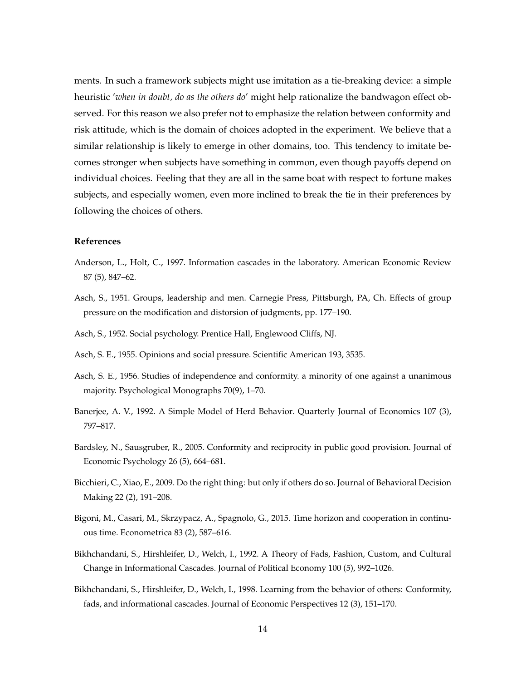ments. In such a framework subjects might use imitation as a tie-breaking device: a simple heuristic '*when in doubt, do as the others do*' might help rationalize the bandwagon effect observed. For this reason we also prefer not to emphasize the relation between conformity and risk attitude, which is the domain of choices adopted in the experiment. We believe that a similar relationship is likely to emerge in other domains, too. This tendency to imitate becomes stronger when subjects have something in common, even though payoffs depend on individual choices. Feeling that they are all in the same boat with respect to fortune makes subjects, and especially women, even more inclined to break the tie in their preferences by following the choices of others.

#### **References**

- <span id="page-15-5"></span>Anderson, L., Holt, C., 1997. Information cascades in the laboratory. American Economic Review 87 (5), 847–62.
- <span id="page-15-0"></span>Asch, S., 1951. Groups, leadership and men. Carnegie Press, Pittsburgh, PA, Ch. Effects of group pressure on the modification and distorsion of judgments, pp. 177–190.
- <span id="page-15-1"></span>Asch, S., 1952. Social psychology. Prentice Hall, Englewood Cliffs, NJ.
- <span id="page-15-2"></span>Asch, S. E., 1955. Opinions and social pressure. Scientific American 193, 3535.
- <span id="page-15-3"></span>Asch, S. E., 1956. Studies of independence and conformity. a minority of one against a unanimous majority. Psychological Monographs 70(9), 1–70.
- <span id="page-15-6"></span>Banerjee, A. V., 1992. A Simple Model of Herd Behavior. Quarterly Journal of Economics 107 (3), 797–817.
- <span id="page-15-9"></span>Bardsley, N., Sausgruber, R., 2005. Conformity and reciprocity in public good provision. Journal of Economic Psychology 26 (5), 664–681.
- <span id="page-15-4"></span>Bicchieri, C., Xiao, E., 2009. Do the right thing: but only if others do so. Journal of Behavioral Decision Making 22 (2), 191–208.
- <span id="page-15-10"></span>Bigoni, M., Casari, M., Skrzypacz, A., Spagnolo, G., 2015. Time horizon and cooperation in continuous time. Econometrica 83 (2), 587–616.
- <span id="page-15-7"></span>Bikhchandani, S., Hirshleifer, D., Welch, I., 1992. A Theory of Fads, Fashion, Custom, and Cultural Change in Informational Cascades. Journal of Political Economy 100 (5), 992–1026.
- <span id="page-15-8"></span>Bikhchandani, S., Hirshleifer, D., Welch, I., 1998. Learning from the behavior of others: Conformity, fads, and informational cascades. Journal of Economic Perspectives 12 (3), 151–170.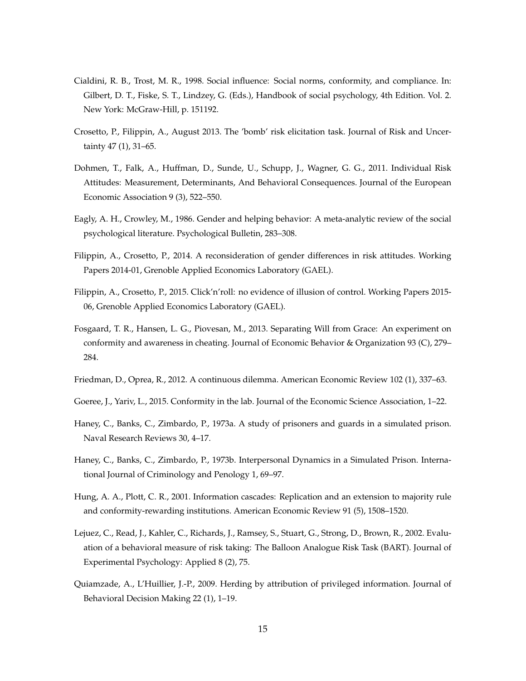- <span id="page-16-11"></span>Cialdini, R. B., Trost, M. R., 1998. Social influence: Social norms, conformity, and compliance. In: Gilbert, D. T., Fiske, S. T., Lindzey, G. (Eds.), Handbook of social psychology, 4th Edition. Vol. 2. New York: McGraw-Hill, p. 151192.
- <span id="page-16-6"></span>Crosetto, P., Filippin, A., August 2013. The 'bomb' risk elicitation task. Journal of Risk and Uncertainty 47 (1), 31–65.
- <span id="page-16-10"></span>Dohmen, T., Falk, A., Huffman, D., Sunde, U., Schupp, J., Wagner, G. G., 2011. Individual Risk Attitudes: Measurement, Determinants, And Behavioral Consequences. Journal of the European Economic Association 9 (3), 522–550.
- <span id="page-16-0"></span>Eagly, A. H., Crowley, M., 1986. Gender and helping behavior: A meta-analytic review of the social psychological literature. Psychological Bulletin, 283–308.
- <span id="page-16-12"></span>Filippin, A., Crosetto, P., 2014. A reconsideration of gender differences in risk attitudes. Working Papers 2014-01, Grenoble Applied Economics Laboratory (GAEL).
- <span id="page-16-8"></span>Filippin, A., Crosetto, P., 2015. Click'n'roll: no evidence of illusion of control. Working Papers 2015- 06, Grenoble Applied Economics Laboratory (GAEL).
- <span id="page-16-7"></span>Fosgaard, T. R., Hansen, L. G., Piovesan, M., 2013. Separating Will from Grace: An experiment on conformity and awareness in cheating. Journal of Economic Behavior & Organization 93 (C), 279– 284.
- <span id="page-16-13"></span>Friedman, D., Oprea, R., 2012. A continuous dilemma. American Economic Review 102 (1), 337–63.
- <span id="page-16-5"></span>Goeree, J., Yariv, L., 2015. Conformity in the lab. Journal of the Economic Science Association, 1–22.
- <span id="page-16-1"></span>Haney, C., Banks, C., Zimbardo, P., 1973a. A study of prisoners and guards in a simulated prison. Naval Research Reviews 30, 4–17.
- <span id="page-16-2"></span>Haney, C., Banks, C., Zimbardo, P., 1973b. Interpersonal Dynamics in a Simulated Prison. International Journal of Criminology and Penology 1, 69–97.
- <span id="page-16-3"></span>Hung, A. A., Plott, C. R., 2001. Information cascades: Replication and an extension to majority rule and conformity-rewarding institutions. American Economic Review 91 (5), 1508–1520.
- <span id="page-16-9"></span>Lejuez, C., Read, J., Kahler, C., Richards, J., Ramsey, S., Stuart, G., Strong, D., Brown, R., 2002. Evaluation of a behavioral measure of risk taking: The Balloon Analogue Risk Task (BART). Journal of Experimental Psychology: Applied 8 (2), 75.
- <span id="page-16-4"></span>Quiamzade, A., L'Huillier, J.-P., 2009. Herding by attribution of privileged information. Journal of Behavioral Decision Making 22 (1), 1–19.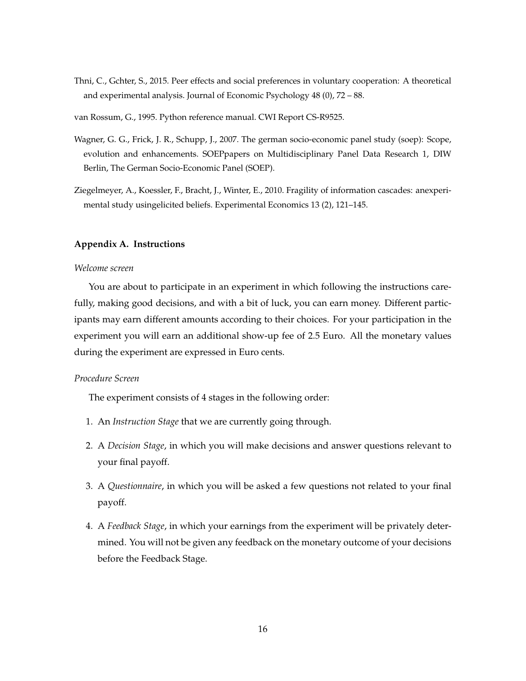- <span id="page-17-1"></span>Thni, C., Gchter, S., 2015. Peer effects and social preferences in voluntary cooperation: A theoretical and experimental analysis. Journal of Economic Psychology 48 (0), 72 – 88.
- <span id="page-17-2"></span>van Rossum, G., 1995. Python reference manual. CWI Report CS-R9525.
- <span id="page-17-4"></span>Wagner, G. G., Frick, J. R., Schupp, J., 2007. The german socio-economic panel study (soep): Scope, evolution and enhancements. SOEPpapers on Multidisciplinary Panel Data Research 1, DIW Berlin, The German Socio-Economic Panel (SOEP).
- <span id="page-17-0"></span>Ziegelmeyer, A., Koessler, F., Bracht, J., Winter, E., 2010. Fragility of information cascades: anexperimental study usingelicited beliefs. Experimental Economics 13 (2), 121–145.

#### <span id="page-17-3"></span>**Appendix A. Instructions**

#### *Welcome screen*

You are about to participate in an experiment in which following the instructions carefully, making good decisions, and with a bit of luck, you can earn money. Different participants may earn different amounts according to their choices. For your participation in the experiment you will earn an additional show-up fee of 2.5 Euro. All the monetary values during the experiment are expressed in Euro cents.

#### *Procedure Screen*

The experiment consists of 4 stages in the following order:

- 1. An *Instruction Stage* that we are currently going through.
- 2. A *Decision Stage*, in which you will make decisions and answer questions relevant to your final payoff.
- 3. A *Questionnaire*, in which you will be asked a few questions not related to your final payoff.
- 4. A *Feedback Stage*, in which your earnings from the experiment will be privately determined. You will not be given any feedback on the monetary outcome of your decisions before the Feedback Stage.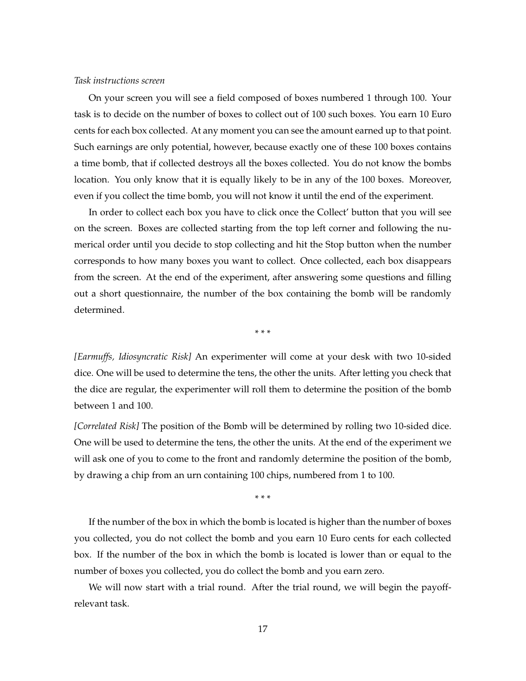#### *Task instructions screen*

On your screen you will see a field composed of boxes numbered 1 through 100. Your task is to decide on the number of boxes to collect out of 100 such boxes. You earn 10 Euro cents for each box collected. At any moment you can see the amount earned up to that point. Such earnings are only potential, however, because exactly one of these 100 boxes contains a time bomb, that if collected destroys all the boxes collected. You do not know the bombs location. You only know that it is equally likely to be in any of the 100 boxes. Moreover, even if you collect the time bomb, you will not know it until the end of the experiment.

In order to collect each box you have to click once the Collect' button that you will see on the screen. Boxes are collected starting from the top left corner and following the numerical order until you decide to stop collecting and hit the Stop button when the number corresponds to how many boxes you want to collect. Once collected, each box disappears from the screen. At the end of the experiment, after answering some questions and filling out a short questionnaire, the number of the box containing the bomb will be randomly determined.

\* \* \*

*[Earmuffs, Idiosyncratic Risk]* An experimenter will come at your desk with two 10-sided dice. One will be used to determine the tens, the other the units. After letting you check that the dice are regular, the experimenter will roll them to determine the position of the bomb between 1 and 100.

*[Correlated Risk]* The position of the Bomb will be determined by rolling two 10-sided dice. One will be used to determine the tens, the other the units. At the end of the experiment we will ask one of you to come to the front and randomly determine the position of the bomb, by drawing a chip from an urn containing 100 chips, numbered from 1 to 100.

\* \* \*

If the number of the box in which the bomb is located is higher than the number of boxes you collected, you do not collect the bomb and you earn 10 Euro cents for each collected box. If the number of the box in which the bomb is located is lower than or equal to the number of boxes you collected, you do collect the bomb and you earn zero.

We will now start with a trial round. After the trial round, we will begin the payoffrelevant task.